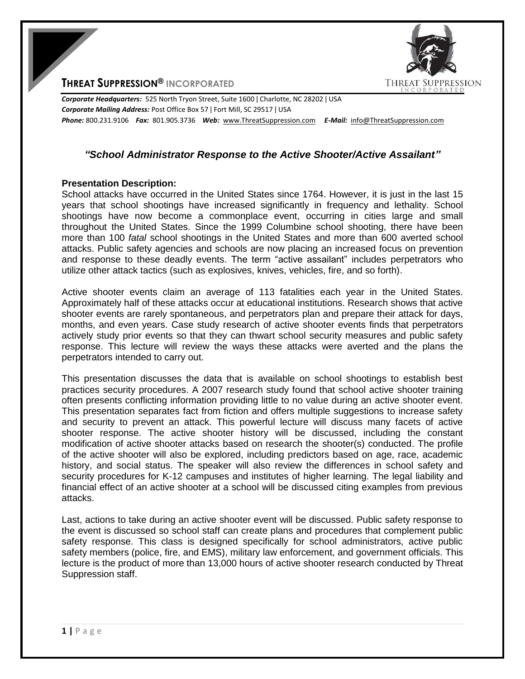

**THREAT SUPPRESSION® INCORPORATED**

*Corporate Headquarters:* 525 North Tryon Street, Suite 1600 ǀ Charlotte, NC 28202 ǀ USA *Corporate Mailing Address:* Post Office Box 57 ǀ Fort Mill, SC 29517 ǀ USA *Phone:* 800.231.9106 *Fax:* 801.905.3736 *Web:* www.ThreatSuppression.com *E-Mail:* info@ThreatSuppression.com

## *"School Administrator Response to the Active Shooter/Active Assailant"*

## **Presentation Description:**

School attacks have occurred in the United States since 1764. However, it is just in the last 15 years that school shootings have increased significantly in frequency and lethality. School shootings have now become a commonplace event, occurring in cities large and small throughout the United States. Since the 1999 Columbine school shooting, there have been more than 100 *fatal* school shootings in the United States and more than 600 averted school attacks. Public safety agencies and schools are now placing an increased focus on prevention and response to these deadly events. The term "active assailant" includes perpetrators who utilize other attack tactics (such as explosives, knives, vehicles, fire, and so forth).

Active shooter events claim an average of 113 fatalities each year in the United States. Approximately half of these attacks occur at educational institutions. Research shows that active shooter events are rarely spontaneous, and perpetrators plan and prepare their attack for days, months, and even years. Case study research of active shooter events finds that perpetrators actively study prior events so that they can thwart school security measures and public safety response. This lecture will review the ways these attacks were averted and the plans the perpetrators intended to carry out.

This presentation discusses the data that is available on school shootings to establish best practices security procedures. A 2007 research study found that school active shooter training often presents conflicting information providing little to no value during an active shooter event. This presentation separates fact from fiction and offers multiple suggestions to increase safety and security to prevent an attack. This powerful lecture will discuss many facets of active shooter response. The active shooter history will be discussed, including the constant modification of active shooter attacks based on research the shooter(s) conducted. The profile of the active shooter will also be explored, including predictors based on age, race, academic history, and social status. The speaker will also review the differences in school safety and security procedures for K-12 campuses and institutes of higher learning. The legal liability and financial effect of an active shooter at a school will be discussed citing examples from previous attacks.

Last, actions to take during an active shooter event will be discussed. Public safety response to the event is discussed so school staff can create plans and procedures that complement public safety response. This class is designed specifically for school administrators, active public safety members (police, fire, and EMS), military law enforcement, and government officials. This lecture is the product of more than 13,000 hours of active shooter research conducted by Threat Suppression staff.